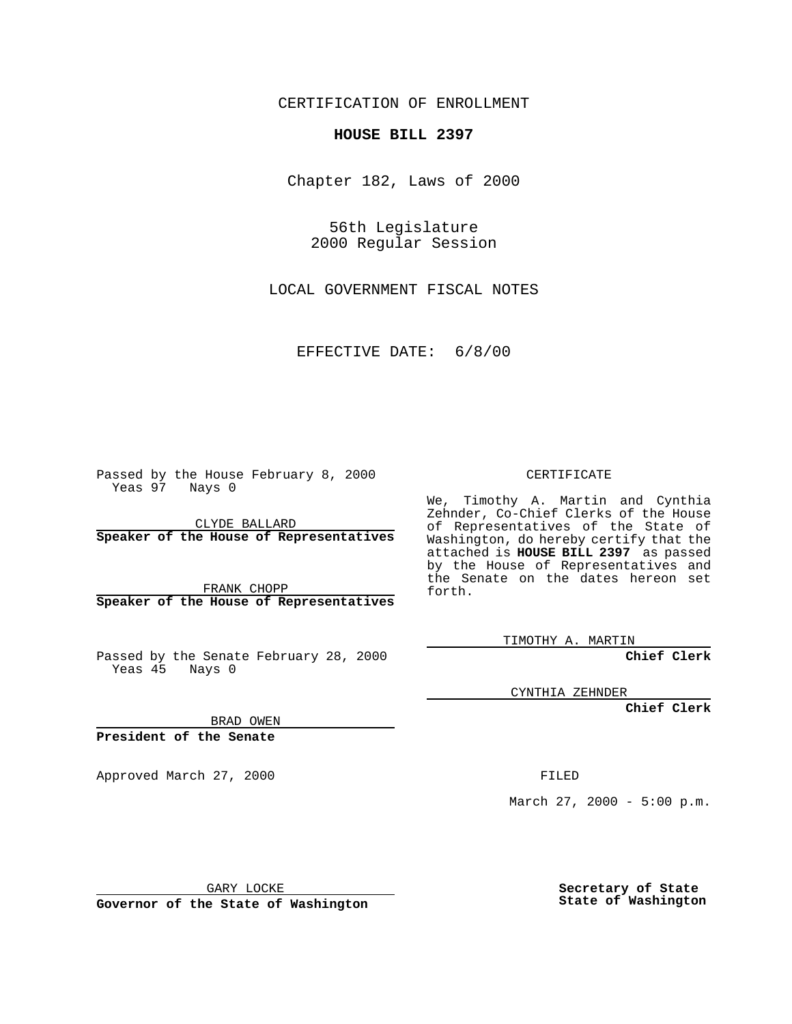CERTIFICATION OF ENROLLMENT

## **HOUSE BILL 2397**

Chapter 182, Laws of 2000

56th Legislature 2000 Regular Session

LOCAL GOVERNMENT FISCAL NOTES

EFFECTIVE DATE: 6/8/00

Passed by the House February 8, 2000 Yeas 97 Nays 0

CLYDE BALLARD **Speaker of the House of Representatives**

FRANK CHOPP **Speaker of the House of Representatives**

Passed by the Senate February 28, 2000 Yeas 45 Nays 0

CERTIFICATE

We, Timothy A. Martin and Cynthia Zehnder, Co-Chief Clerks of the House of Representatives of the State of Washington, do hereby certify that the attached is **HOUSE BILL 2397** as passed by the House of Representatives and the Senate on the dates hereon set forth.

TIMOTHY A. MARTIN

**Chief Clerk**

CYNTHIA ZEHNDER

**Chief Clerk**

BRAD OWEN

**President of the Senate**

Approved March 27, 2000 FILED

March 27, 2000 - 5:00 p.m.

GARY LOCKE

**Governor of the State of Washington**

**Secretary of State State of Washington**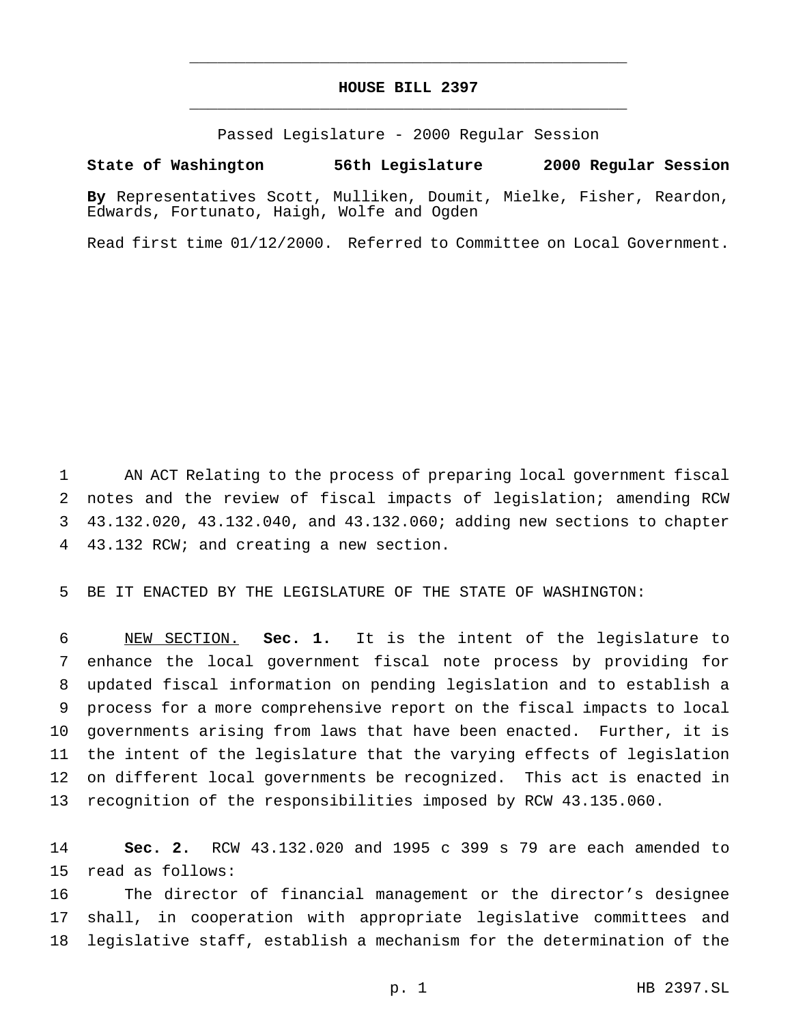## **HOUSE BILL 2397** \_\_\_\_\_\_\_\_\_\_\_\_\_\_\_\_\_\_\_\_\_\_\_\_\_\_\_\_\_\_\_\_\_\_\_\_\_\_\_\_\_\_\_\_\_\_\_

\_\_\_\_\_\_\_\_\_\_\_\_\_\_\_\_\_\_\_\_\_\_\_\_\_\_\_\_\_\_\_\_\_\_\_\_\_\_\_\_\_\_\_\_\_\_\_

Passed Legislature - 2000 Regular Session

**State of Washington 56th Legislature 2000 Regular Session**

**By** Representatives Scott, Mulliken, Doumit, Mielke, Fisher, Reardon, Edwards, Fortunato, Haigh, Wolfe and Ogden

Read first time 01/12/2000. Referred to Committee on Local Government.

 AN ACT Relating to the process of preparing local government fiscal notes and the review of fiscal impacts of legislation; amending RCW 43.132.020, 43.132.040, and 43.132.060; adding new sections to chapter 43.132 RCW; and creating a new section.

BE IT ENACTED BY THE LEGISLATURE OF THE STATE OF WASHINGTON:

 NEW SECTION. **Sec. 1.** It is the intent of the legislature to enhance the local government fiscal note process by providing for updated fiscal information on pending legislation and to establish a process for a more comprehensive report on the fiscal impacts to local governments arising from laws that have been enacted. Further, it is the intent of the legislature that the varying effects of legislation on different local governments be recognized. This act is enacted in recognition of the responsibilities imposed by RCW 43.135.060.

 **Sec. 2.** RCW 43.132.020 and 1995 c 399 s 79 are each amended to read as follows:

 The director of financial management or the director's designee shall, in cooperation with appropriate legislative committees and legislative staff, establish a mechanism for the determination of the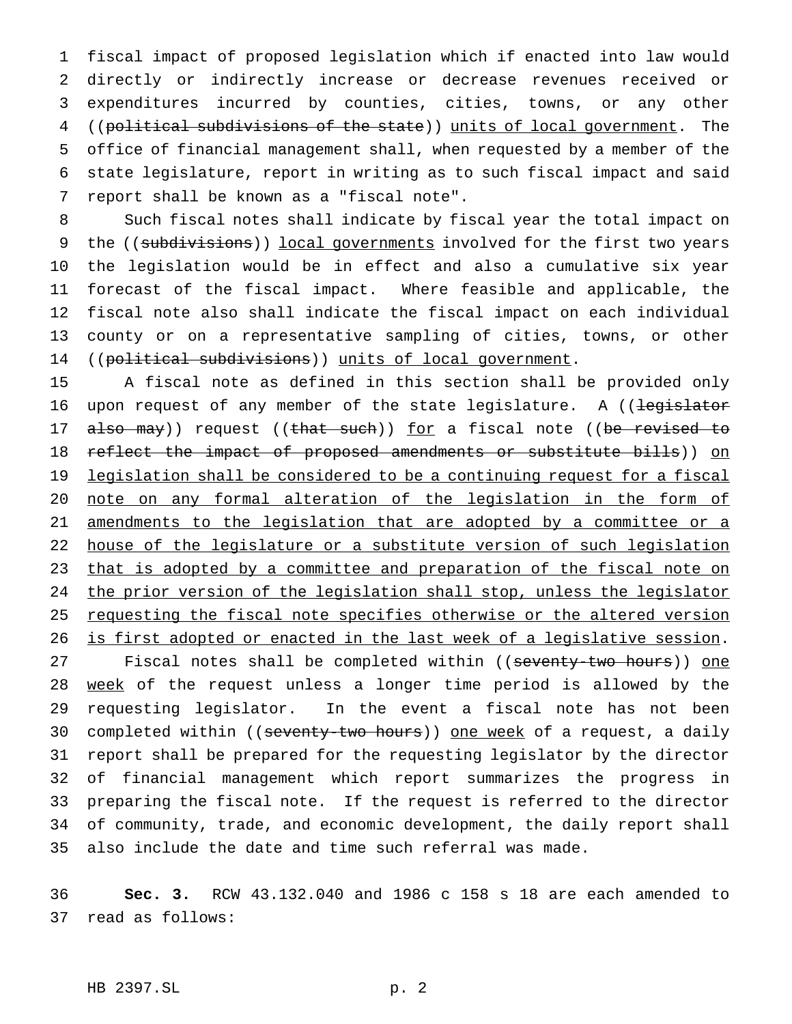fiscal impact of proposed legislation which if enacted into law would directly or indirectly increase or decrease revenues received or expenditures incurred by counties, cities, towns, or any other ((political subdivisions of the state)) units of local government. The office of financial management shall, when requested by a member of the state legislature, report in writing as to such fiscal impact and said report shall be known as a "fiscal note".

 Such fiscal notes shall indicate by fiscal year the total impact on 9 the ((subdivisions)) local governments involved for the first two years the legislation would be in effect and also a cumulative six year forecast of the fiscal impact. Where feasible and applicable, the fiscal note also shall indicate the fiscal impact on each individual county or on a representative sampling of cities, towns, or other 14 ((political subdivisions)) units of local government.

 A fiscal note as defined in this section shall be provided only 16 upon request of any member of the state legislature. A ((legislator 17 also may)) request ((that such)) for a fiscal note ((be revised to 18 reflect the impact of proposed amendments or substitute bills)) on 19 legislation shall be considered to be a continuing request for a fiscal note on any formal alteration of the legislation in the form of 21 amendments to the legislation that are adopted by a committee or a house of the legislature or a substitute version of such legislation 23 that is adopted by a committee and preparation of the fiscal note on 24 the prior version of the legislation shall stop, unless the legislator 25 requesting the fiscal note specifies otherwise or the altered version is first adopted or enacted in the last week of a legislative session.

27 Fiscal notes shall be completed within ((seventy-two hours)) one 28 week of the request unless a longer time period is allowed by the requesting legislator. In the event a fiscal note has not been 30 completed within ((seventy-two hours)) one week of a request, a daily report shall be prepared for the requesting legislator by the director of financial management which report summarizes the progress in preparing the fiscal note. If the request is referred to the director of community, trade, and economic development, the daily report shall also include the date and time such referral was made.

 **Sec. 3.** RCW 43.132.040 and 1986 c 158 s 18 are each amended to read as follows: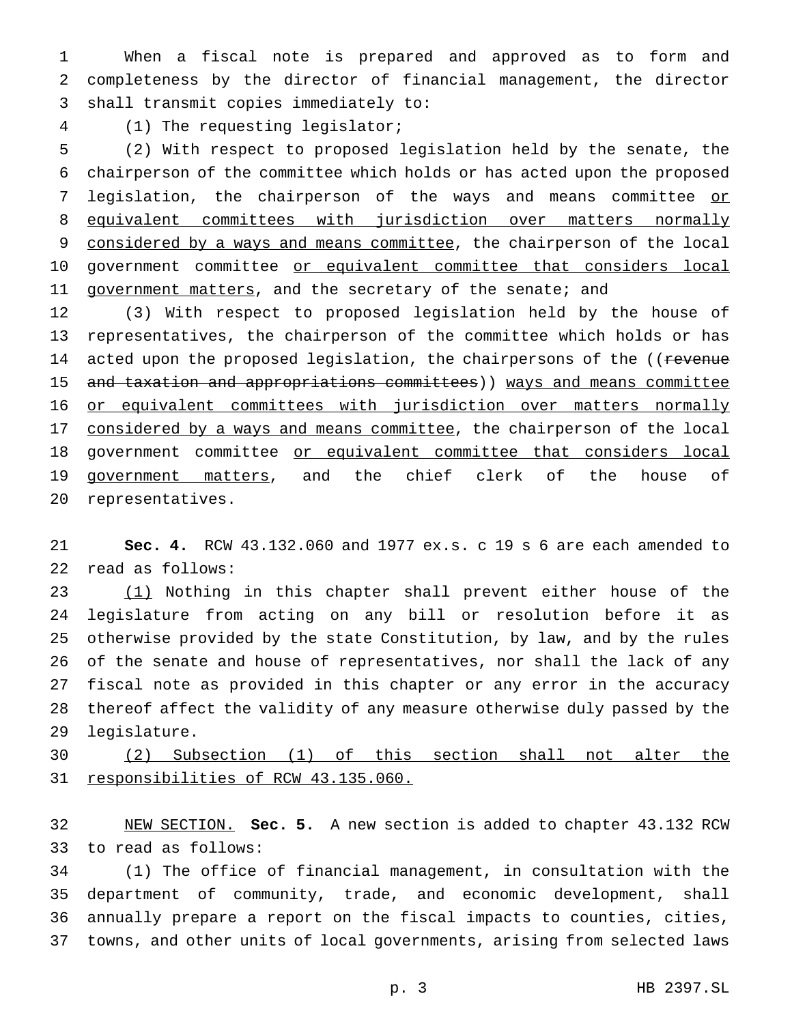When a fiscal note is prepared and approved as to form and completeness by the director of financial management, the director shall transmit copies immediately to:

(1) The requesting legislator;

 (2) With respect to proposed legislation held by the senate, the chairperson of the committee which holds or has acted upon the proposed 7 legislation, the chairperson of the ways and means committee or 8 equivalent committees with jurisdiction over matters normally 9 considered by a ways and means committee, the chairperson of the local 10 government committee or equivalent committee that considers local 11 government matters, and the secretary of the senate; and

 (3) With respect to proposed legislation held by the house of representatives, the chairperson of the committee which holds or has 14 acted upon the proposed legislation, the chairpersons of the ((revenue 15 and taxation and appropriations committees)) ways and means committee 16 or equivalent committees with jurisdiction over matters normally 17 considered by a ways and means committee, the chairperson of the local 18 government committee or equivalent committee that considers local 19 government matters, and the chief clerk of the house of representatives.

 **Sec. 4.** RCW 43.132.060 and 1977 ex.s. c 19 s 6 are each amended to read as follows:

 (1) Nothing in this chapter shall prevent either house of the legislature from acting on any bill or resolution before it as otherwise provided by the state Constitution, by law, and by the rules of the senate and house of representatives, nor shall the lack of any fiscal note as provided in this chapter or any error in the accuracy thereof affect the validity of any measure otherwise duly passed by the legislature.

 (2) Subsection (1) of this section shall not alter the 31 responsibilities of RCW 43.135.060.

 NEW SECTION. **Sec. 5.** A new section is added to chapter 43.132 RCW to read as follows:

 (1) The office of financial management, in consultation with the department of community, trade, and economic development, shall annually prepare a report on the fiscal impacts to counties, cities, towns, and other units of local governments, arising from selected laws